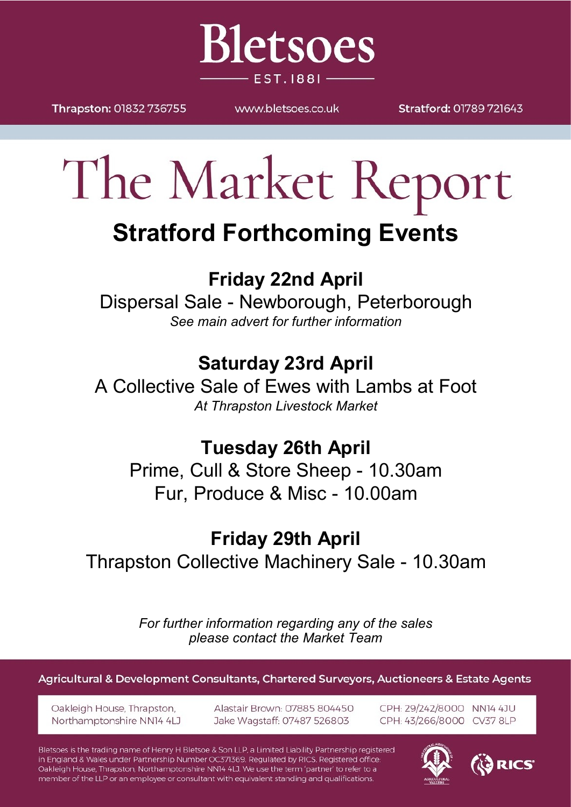

Thrapston: 01832 736755

WWW.bletsoes.co.uk

Stratford: 01789 721643

# The Market Report

# **Stratford Forthcoming Events**

# **Friday 22nd April**

Dispersal Sale - Newborough, Peterborough *See main advert for further information*

# **Saturday 23rd April**

A Collective Sale of Ewes with Lambs at Foot *At Thrapston Livestock Market*

### **Tuesday 26th April**

Prime, Cull & Store Sheep - 10.30am Fur, Produce & Misc - 10.00am

# **Friday 29th April**

Thrapston Collective Machinery Sale - 10.30am

*For further information regarding any of the sales please contact the Market Team*

Agricultural & Development Consultants, Chartered Surveyors, Auctioneers & Estate Agents

Oakleigh House, Thrapston, Northamptonshire NN14 4LJ Alastair Brown: 07885 804450 Jake Wagstaff: 07487 526803

CPH: 29/242/8000 NN14 4JU CPH: 43/266/8000 CV37 8LP

Bletsoes is the trading name of Henry H Bletsoe & Son LLP, a Limited Liability Partnership registered in England & Wales under Partnership Number OC371369. Regulated by RICS. Registered office: Oakleigh House, Thrapston, Northamptonshire NN14 4LJ. We use the term 'partner' to refer to a member of the LLP or an employee or consultant with equivalent standing and qualifications.



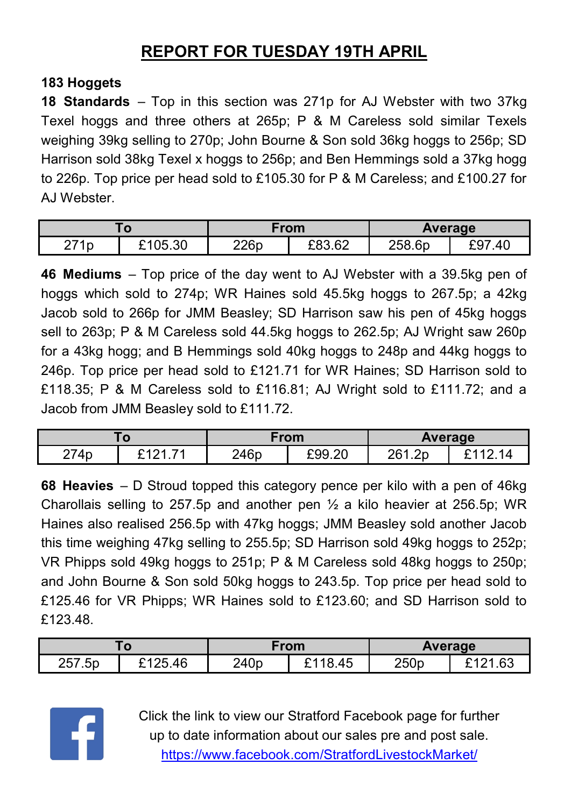### **REPORT FOR TUESDAY 19TH APRIL**

#### **183 Hoggets**

**18 Standards** – Top in this section was 271p for AJ Webster with two 37kg Texel hoggs and three others at 265p; P & M Careless sold similar Texels weighing 39kg selling to 270p; John Bourne & Son sold 36kg hoggs to 256p; SD Harrison sold 38kg Texel x hoggs to 256p; and Ben Hemmings sold a 37kg hogg to 226p. Top price per head sold to £105.30 for P & M Careless; and £100.27 for AJ Webster.

| w            |         | From |        | Average |            |
|--------------|---------|------|--------|---------|------------|
| 271p<br>ا ہے | £105.30 | 226p | £83.62 | 258.6p  | .40<br>- ษ |

**46 Mediums** – Top price of the day went to AJ Webster with a 39.5kg pen of hoggs which sold to 274p; WR Haines sold 45.5kg hoggs to 267.5p; a 42kg Jacob sold to 266p for JMM Beasley; SD Harrison saw his pen of 45kg hoggs sell to 263p; P & M Careless sold 44.5kg hoggs to 262.5p; AJ Wright saw 260p for a 43kg hogg; and B Hemmings sold 40kg hoggs to 248p and 44kg hoggs to 246p. Top price per head sold to £121.71 for WR Haines; SD Harrison sold to £118.35; P & M Careless sold to £116.81; AJ Wright sold to £111.72; and a Jacob from JMM Beasley sold to £111.72.

| $\mathbf{o}$ |                           | ∙rom |        | <b>Average</b> |     |
|--------------|---------------------------|------|--------|----------------|-----|
| 274p<br>ے ا  | ົ <i>ላ</i> ດ 4<br>74<br>- | 246p | £99.20 | 261.2p         | ∍ א |

**68 Heavies** – D Stroud topped this category pence per kilo with a pen of 46kg Charollais selling to 257.5p and another pen  $\frac{1}{2}$  a kilo heavier at 256.5p; WR Haines also realised 256.5p with 47kg hoggs; JMM Beasley sold another Jacob this time weighing 47kg selling to 255.5p; SD Harrison sold 49kg hoggs to 252p; VR Phipps sold 49kg hoggs to 251p; P & M Careless sold 48kg hoggs to 250p; and John Bourne & Son sold 50kg hoggs to 243.5p. Top price per head sold to £125.46 for VR Phipps; WR Haines sold to £123.60; and SD Harrison sold to £123.48.

|        |              | From             |      | <b>Average</b> |                           |
|--------|--------------|------------------|------|----------------|---------------------------|
| 257.5p | 5.46<br>よくつよ | 240 <sub>p</sub> | 8.45 | 250p           | 1.63<br>ົດ⊿<br><b>CAC</b> |



Click the link to view our Stratford Facebook page for further up to date information about our sales pre and post sale. <https://www.facebook.com/StratfordLivestockMarket/>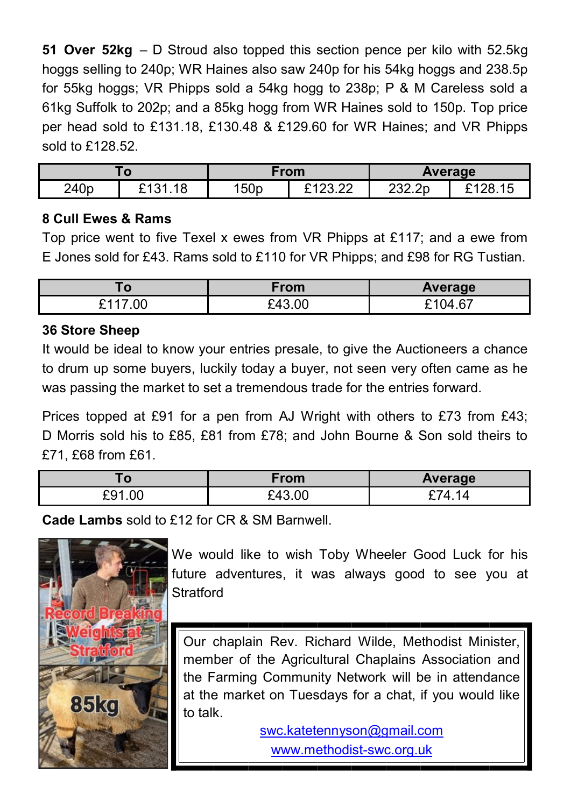**51 Over 52kg** – D Stroud also topped this section pence per kilo with 52.5kg hoggs selling to 240p; WR Haines also saw 240p for his 54kg hoggs and 238.5p for 55kg hoggs; VR Phipps sold a 54kg hogg to 238p; P & M Careless sold a 61kg Suffolk to 202p; and a 85kg hogg from WR Haines sold to 150p. Top price per head sold to £131.18, £130.48 & £129.60 for WR Haines; and VR Phipps sold to £128.52.

| O                |         | From             |                       | Average |        |
|------------------|---------|------------------|-----------------------|---------|--------|
| 240 <sub>p</sub> | £131.18 | 150 <sub>p</sub> | ລາວລັງວັ<br>ے کہ دے آ | 232.2p  | $\sim$ |

#### **8 Cull Ewes & Rams**

Top price went to five Texel x ewes from VR Phipps at £117; and a ewe from E Jones sold for £43. Rams sold to £110 for VR Phipps; and £98 for RG Tustian.

| . U               | From   | <b>Average</b> |
|-------------------|--------|----------------|
| .00<br>-4117<br>- | £43.00 | . 67<br>F1N4   |

#### **36 Store Sheep**

It would be ideal to know your entries presale, to give the Auctioneers a chance to drum up some buyers, luckily today a buyer, not seen very often came as he was passing the market to set a tremendous trade for the entries forward.

Prices topped at £91 for a pen from AJ Wright with others to £73 from £43; D Morris sold his to £85, £81 from £78; and John Bourne & Son sold theirs to £71, £68 from £61.

| יי         | ∙rom         | Average         |
|------------|--------------|-----------------|
| .00<br>fa- | $\mathbf{r}$ | $\prime$<br>ے ، |

**Cade Lambs** sold to £12 for CR & SM Barnwell.



We would like to wish Toby Wheeler Good Luck for his future adventures, it was always good to see you at **Stratford** 

Our chaplain Rev. Richard Wilde, Methodist Minister, member of the Agricultural Chaplains Association and the Farming Community Network will be in attendance at the market on Tuesdays for a chat, if you would like to talk.

swc.katetennyson@gmail.com

[www.methodist](http://www.Methodist-SWC.org.uk)-swc.org.uk